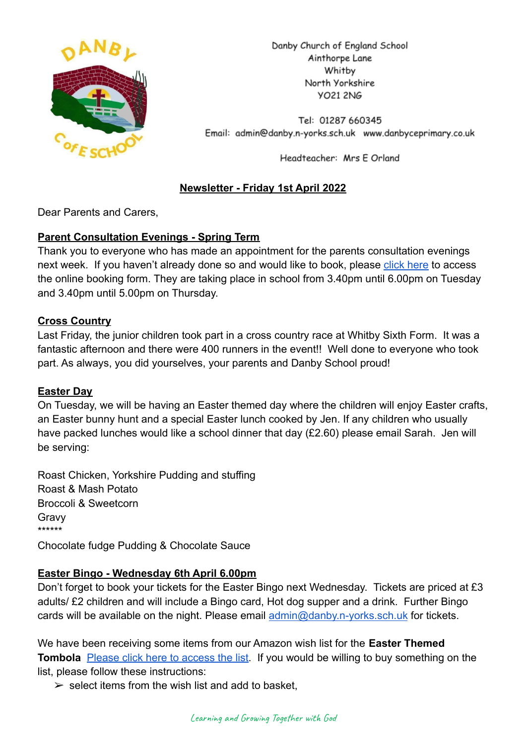

Danby Church of England School Ainthorpe Lane Whitby North Yorkshire VO21 2NG

Tel: 01287 660345 Email: admin@danby.n-yorks.sch.uk www.danbyceprimary.co.uk

Headteacher: Mrs E Orland

# **Newsletter - Friday 1st April 2022**

Dear Parents and Carers,

# **Parent Consultation Evenings - Spring Term**

Thank you to everyone who has made an appointment for the parents consultation evenings next week. If you haven't already done so and would like to book, please [click here](https://forms.gle/ojcBPgJL2n8XfsE48) to access the online booking form. They are taking place in school from 3.40pm until 6.00pm on Tuesday and 3.40pm until 5.00pm on Thursday.

## **Cross Country**

Last Friday, the junior children took part in a cross country race at Whitby Sixth Form. It was a fantastic afternoon and there were 400 runners in the event!! Well done to everyone who took part. As always, you did yourselves, your parents and Danby School proud!

## **Easter Day**

On Tuesday, we will be having an Easter themed day where the children will enjoy Easter crafts, an Easter bunny hunt and a special Easter lunch cooked by Jen. If any children who usually have packed lunches would like a school dinner that day (£2.60) please email Sarah. Jen will be serving:

Roast Chicken, Yorkshire Pudding and stuffing Roast & Mash Potato Broccoli & Sweetcorn Gravy \*\*\*\*\*\*

Chocolate fudge Pudding & Chocolate Sauce

# **Easter Bingo - Wednesday 6th April 6.00pm**

Don't forget to book your tickets for the Easter Bingo next Wednesday. Tickets are priced at £3 adults/ £2 children and will include a Bingo card, Hot dog supper and a drink. Further Bingo cards will be available on the night. Please email [admin@danby.n-yorks.sch.uk](mailto:admin@danby.n-yorks.sch.uk) for tickets.

We have been receiving some items from our Amazon wish list for the **Easter Themed Tombola** [Please click here to access the list](https://amzn.eu/1G5bIAA). If you would be willing to buy something on the list, please follow these instructions:

 $\ge$  select items from the wish list and add to basket.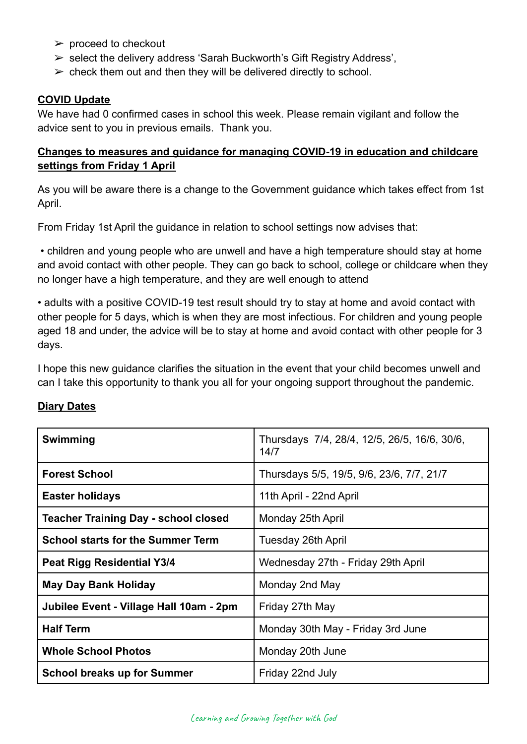- $\triangleright$  proceed to checkout
- ➢ select the delivery address 'Sarah Buckworth's Gift Registry Address',
- $\triangleright$  check them out and then they will be delivered directly to school.

## **COVID Update**

We have had 0 confirmed cases in school this week. Please remain vigilant and follow the advice sent to you in previous emails. Thank you.

# **Changes to measures and guidance for managing COVID-19 in education and childcare settings from Friday 1 April**

As you will be aware there is a change to the Government guidance which takes effect from 1st April.

From Friday 1st April the guidance in relation to school settings now advises that:

• children and young people who are unwell and have a high temperature should stay at home and avoid contact with other people. They can go back to school, college or childcare when they no longer have a high temperature, and they are well enough to attend

• adults with a positive COVID-19 test result should try to stay at home and avoid contact with other people for 5 days, which is when they are most infectious. For children and young people aged 18 and under, the advice will be to stay at home and avoid contact with other people for 3 days.

I hope this new guidance clarifies the situation in the event that your child becomes unwell and can I take this opportunity to thank you all for your ongoing support throughout the pandemic.

## **Diary Dates**

| Swimming                                 | Thursdays 7/4, 28/4, 12/5, 26/5, 16/6, 30/6,<br>14/7 |
|------------------------------------------|------------------------------------------------------|
| <b>Forest School</b>                     | Thursdays 5/5, 19/5, 9/6, 23/6, 7/7, 21/7            |
| <b>Easter holidays</b>                   | 11th April - 22nd April                              |
| Teacher Training Day - school closed     | Monday 25th April                                    |
| <b>School starts for the Summer Term</b> | Tuesday 26th April                                   |
| Peat Rigg Residential Y3/4               | Wednesday 27th - Friday 29th April                   |
| <b>May Day Bank Holiday</b>              | Monday 2nd May                                       |
| Jubilee Event - Village Hall 10am - 2pm  | Friday 27th May                                      |
| <b>Half Term</b>                         | Monday 30th May - Friday 3rd June                    |
| <b>Whole School Photos</b>               | Monday 20th June                                     |
| <b>School breaks up for Summer</b>       | Friday 22nd July                                     |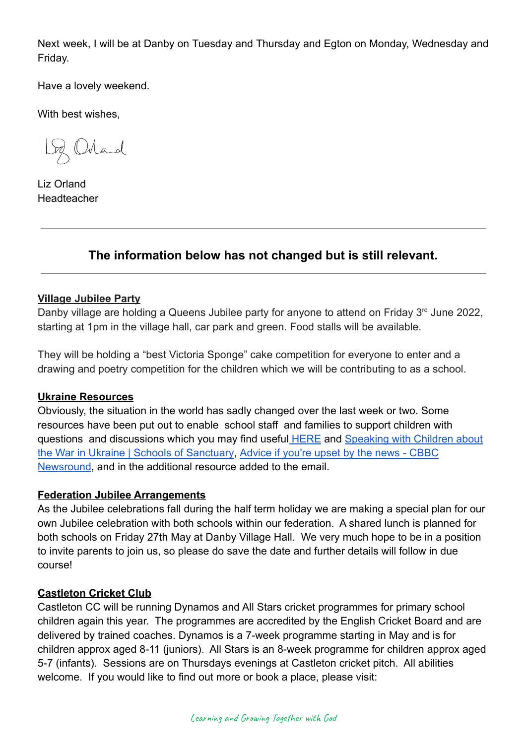Next week, I will be at Danby on Tuesday and Thursday and Egton on Monday, Wednesday and Friday.

Have a lovely weekend.

With best wishes,

Loz Orland

Liz Orland **Headteacher** 

# **The information below has not changed but is still relevant.**

## **Village Jubilee Party**

Danby village are holding a Queens Jubilee party for anyone to attend on Friday 3<sup>rd</sup> June 2022, starting at 1pm in the village hall, car park and green. Food stalls will be available.

They will be holding a "best Victoria Sponge" cake competition for everyone to enter and a drawing and poetry competition for the children which we will be contributing to as a school.

## **Ukraine Resources**

Obviously, the situation in the world has sadly changed over the last week or two. Some resources have been put out to enable school staff and families to support children with questions and discussions which you may find useful **[HERE](https://educationhub.blog.gov.uk/2022/02/25/help-for-teachers-and-families-to-talk-to-pupils-about-russias-invasion-of-ukraine-and-how-to-help-them-avoid-misinformation/)** and [Speaking with Children about](https://schools.cityofsanctuary.org/2022/02/28/speaking-with-children-about-the-war-in-ukraine) [the War in Ukraine | Schools of Sanctuary,](https://schools.cityofsanctuary.org/2022/02/28/speaking-with-children-about-the-war-in-ukraine) Advice [if you're upset by the news - CBBC](https://www.bbc.co.uk/newsround/13865002) [Newsround](https://www.bbc.co.uk/newsround/13865002), and in the additional resource added to the email.

## **Federation Jubilee Arrangements**

As the Jubilee celebrations fall during the half term holiday we are making a special plan for our own Jubilee celebration with both schools within our federation. A shared lunch is planned for both schools on Friday 27th May at Danby Village Hall. We very much hope to be in a position to invite parents to join us, so please do save the date and further details will follow in due course!

## **Castleton Cricket Club**

Castleton CC will be running Dynamos and All Stars cricket programmes for primary school children again this year. The programmes are accredited by the English Cricket Board and are delivered by trained coaches. Dynamos is a 7-week programme starting in May and is for children approx aged 8-11 (juniors). All Stars is an 8-week programme for children approx aged 5-7 (infants). Sessions are on Thursdays evenings at Castleton cricket pitch. All abilities welcome. If you would like to find out more or book a place, please visit: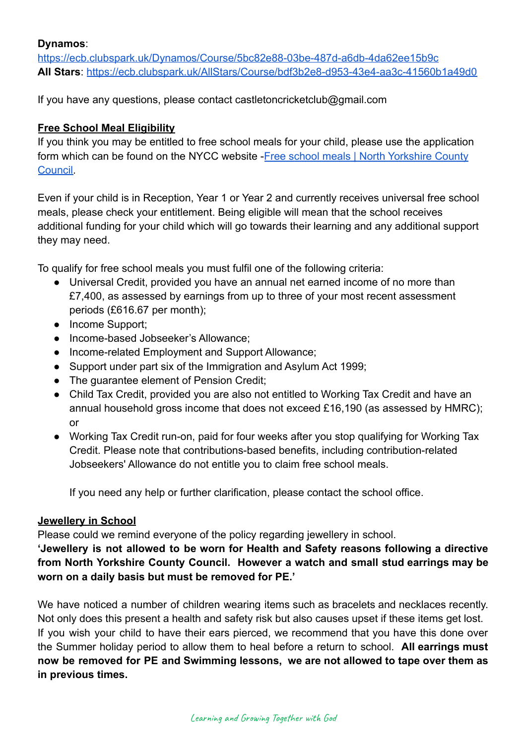#### **Dynamos**:

<https://ecb.clubspark.uk/Dynamos/Course/5bc82e88-03be-487d-a6db-4da62ee15b9c> **All Stars**: <https://ecb.clubspark.uk/AllStars/Course/bdf3b2e8-d953-43e4-aa3c-41560b1a49d0>

If you have any questions, please contact castletoncricketclub@gmail.com

#### **Free School Meal Eligibility**

If you think you may be entitled to free school meals for your child, please use the application form which can be found on the NYCC website -Free [school meals | North Yorkshire County](https://www.northyorks.gov.uk/free-school-meals) [Council.](https://www.northyorks.gov.uk/free-school-meals)

Even if your child is in Reception, Year 1 or Year 2 and currently receives universal free school meals, please check your entitlement. Being eligible will mean that the school receives additional funding for your child which will go towards their learning and any additional support they may need.

To qualify for free school meals you must fulfil one of the following criteria:

- Universal Credit, provided you have an annual net earned income of no more than £7,400, as assessed by earnings from up to three of your most recent assessment periods (£616.67 per month);
- Income Support;
- Income-based Jobseeker's Allowance;
- Income-related Employment and Support Allowance;
- Support under part six of the Immigration and Asylum Act 1999;
- The guarantee element of Pension Credit;
- Child Tax Credit, provided you are also not entitled to Working Tax Credit and have an annual household gross income that does not exceed £16,190 (as assessed by HMRC); or
- Working Tax Credit run-on, paid for four weeks after you stop qualifying for Working Tax Credit. Please note that contributions-based benefits, including contribution-related Jobseekers' Allowance do not entitle you to claim free school meals.

If you need any help or further clarification, please contact the school office.

#### **Jewellery in School**

Please could we remind everyone of the policy regarding jewellery in school.

**'Jewellery is not allowed to be worn for Health and Safety reasons following a directive from North Yorkshire County Council. However a watch and small stud earrings may be worn on a daily basis but must be removed for PE.'**

We have noticed a number of children wearing items such as bracelets and necklaces recently. Not only does this present a health and safety risk but also causes upset if these items get lost. If you wish your child to have their ears pierced, we recommend that you have this done over the Summer holiday period to allow them to heal before a return to school. **All earrings must now be removed for PE and Swimming lessons, we are not allowed to tape over them as in previous times.**